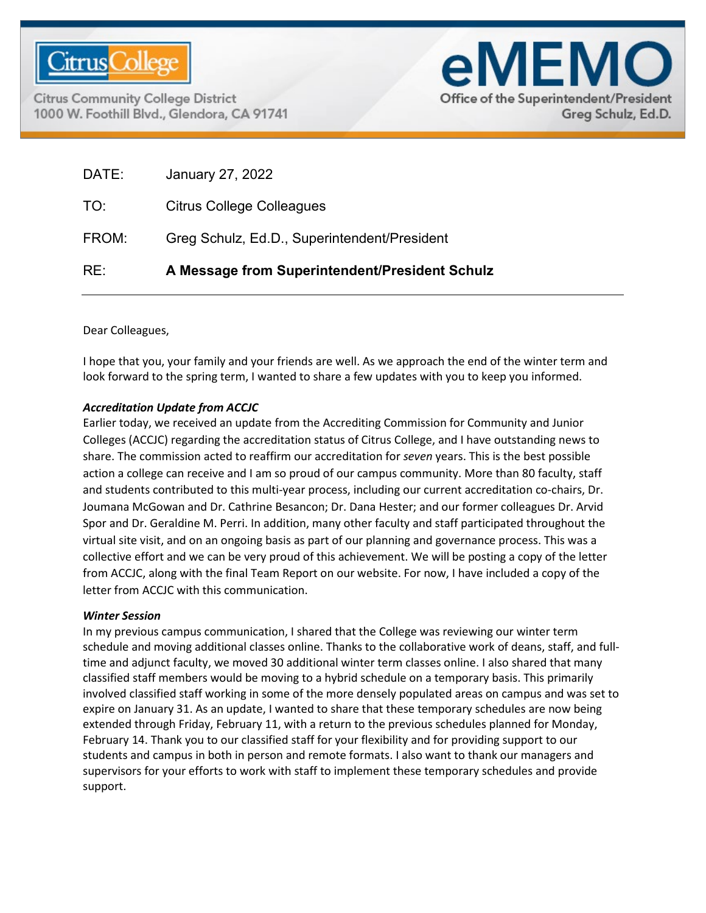

**Citrus Community College District** 1000 W. Foothill Blvd., Glendora, CA 91741



| RE:   | A Message from Superintendent/President Schulz |
|-------|------------------------------------------------|
| FROM: | Greg Schulz, Ed.D., Superintendent/President   |
| TO:   | Citrus College Colleagues                      |
| DATE: | January 27, 2022                               |

Dear Colleagues,

I hope that you, your family and your friends are well. As we approach the end of the winter term and look forward to the spring term, I wanted to share a few updates with you to keep you informed.

## *Accreditation Update from ACCJC*

Earlier today, we received an update from the Accrediting Commission for Community and Junior Colleges (ACCJC) regarding the accreditation status of Citrus College, and I have outstanding news to share. The commission acted to reaffirm our accreditation for *seven* years. This is the best possible action a college can receive and I am so proud of our campus community. More than 80 faculty, staff and students contributed to this multi-year process, including our current accreditation co-chairs, Dr. Joumana McGowan and Dr. Cathrine Besancon; Dr. Dana Hester; and our former colleagues Dr. Arvid Spor and Dr. Geraldine M. Perri. In addition, many other faculty and staff participated throughout the virtual site visit, and on an ongoing basis as part of our planning and governance process. This was a collective effort and we can be very proud of this achievement. We will be posting a copy of the letter from ACCJC, along with the final Team Report on our website. For now, I have included a copy of the letter from ACCJC with this communication.

## *Winter Session*

In my previous campus communication, I shared that the College was reviewing our winter term schedule and moving additional classes online. Thanks to the collaborative work of deans, staff, and fulltime and adjunct faculty, we moved 30 additional winter term classes online. I also shared that many classified staff members would be moving to a hybrid schedule on a temporary basis. This primarily involved classified staff working in some of the more densely populated areas on campus and was set to expire on January 31. As an update, I wanted to share that these temporary schedules are now being extended through Friday, February 11, with a return to the previous schedules planned for Monday, February 14. Thank you to our classified staff for your flexibility and for providing support to our students and campus in both in person and remote formats. I also want to thank our managers and supervisors for your efforts to work with staff to implement these temporary schedules and provide support.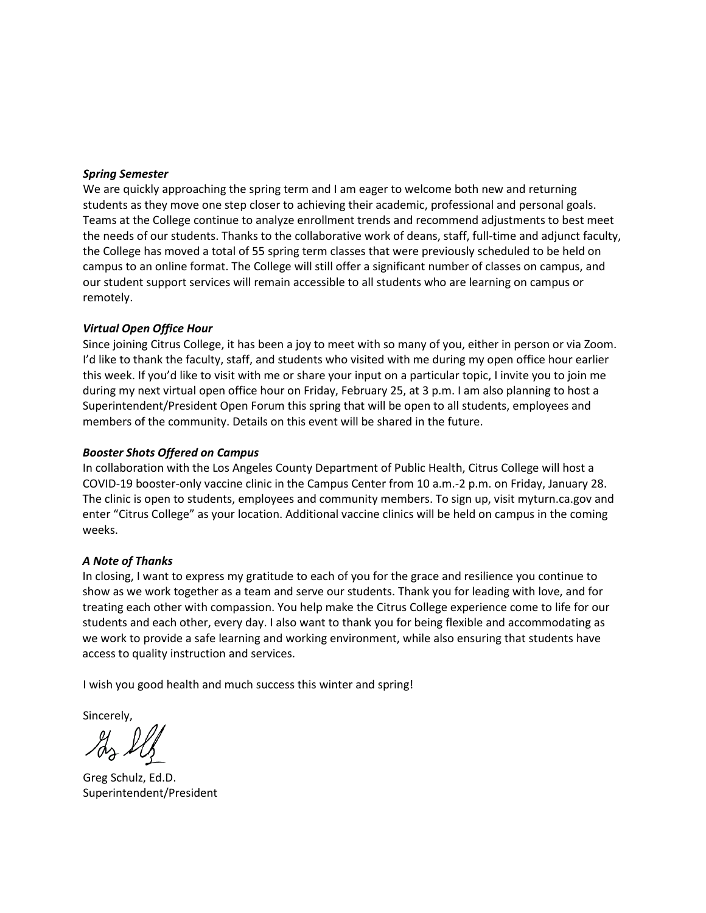#### *Spring Semester*

We are quickly approaching the spring term and I am eager to welcome both new and returning students as they move one step closer to achieving their academic, professional and personal goals. Teams at the College continue to analyze enrollment trends and recommend adjustments to best meet the needs of our students. Thanks to the collaborative work of deans, staff, full-time and adjunct faculty, the College has moved a total of 55 spring term classes that were previously scheduled to be held on campus to an online format. The College will still offer a significant number of classes on campus, and our student support services will remain accessible to all students who are learning on campus or remotely.

### *Virtual Open Office Hour*

Since joining Citrus College, it has been a joy to meet with so many of you, either in person or via Zoom. I'd like to thank the faculty, staff, and students who visited with me during my open office hour earlier this week. If you'd like to visit with me or share your input on a particular topic, I invite you to join me during my next virtual open office hour on Friday, February 25, at 3 p.m. I am also planning to host a Superintendent/President Open Forum this spring that will be open to all students, employees and members of the community. Details on this event will be shared in the future.

### *Booster Shots Offered on Campus*

In collaboration with the Los Angeles County Department of Public Health, Citrus College will host a COVID-19 booster-only vaccine clinic in the Campus Center from 10 a.m.-2 p.m. on Friday, January 28. The clinic is open to students, employees and community members. To sign up, visit myturn.ca.gov and enter "Citrus College" as your location. Additional vaccine clinics will be held on campus in the coming weeks.

## *A Note of Thanks*

In closing, I want to express my gratitude to each of you for the grace and resilience you continue to show as we work together as a team and serve our students. Thank you for leading with love, and for treating each other with compassion. You help make the Citrus College experience come to life for our students and each other, every day. I also want to thank you for being flexible and accommodating as we work to provide a safe learning and working environment, while also ensuring that students have access to quality instruction and services.

I wish you good health and much success this winter and spring!

Sincerely,

Greg Schulz, Ed.D. Superintendent/President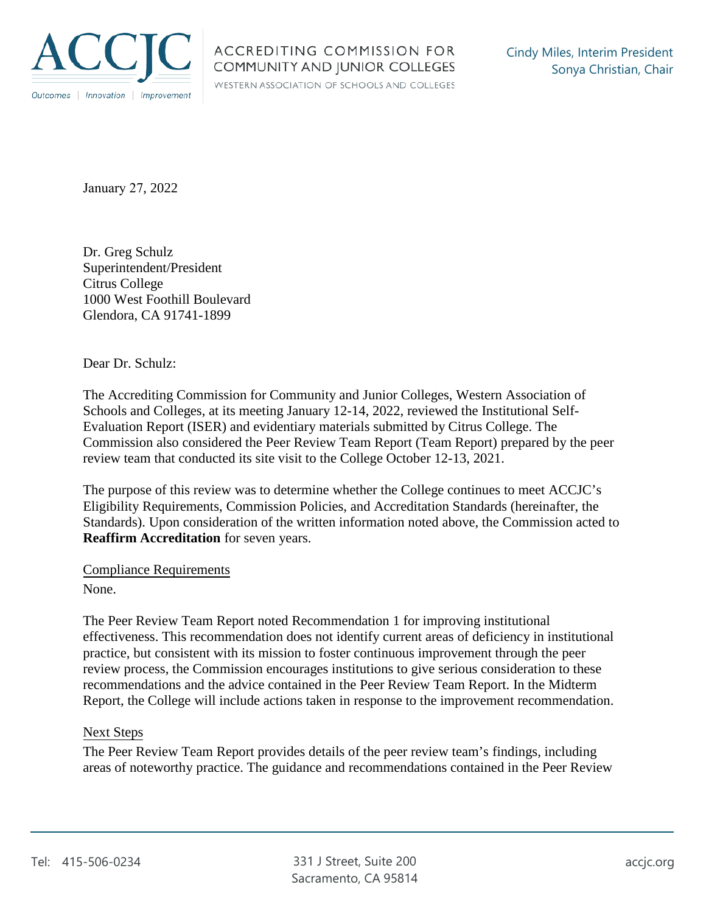

WESTERN ASSOCIATION OF SCHOOLS AND COLLEGES

January 27, 2022

Dr. Greg Schulz Superintendent/President Citrus College 1000 West Foothill Boulevard Glendora, CA 91741-1899

Dear Dr. Schulz:

The Accrediting Commission for Community and Junior Colleges, Western Association of Schools and Colleges, at its meeting January 12-14, 2022, reviewed the Institutional Self-Evaluation Report (ISER) and evidentiary materials submitted by Citrus College. The Commission also considered the Peer Review Team Report (Team Report) prepared by the peer review team that conducted its site visit to the College October 12-13, 2021.

The purpose of this review was to determine whether the College continues to meet ACCJC's Eligibility Requirements, Commission Policies, and Accreditation Standards (hereinafter, the Standards). Upon consideration of the written information noted above, the Commission acted to **Reaffirm Accreditation** for seven years.

Compliance Requirements

None.

The Peer Review Team Report noted Recommendation 1 for improving institutional effectiveness. This recommendation does not identify current areas of deficiency in institutional practice, but consistent with its mission to foster continuous improvement through the peer review process, the Commission encourages institutions to give serious consideration to these recommendations and the advice contained in the Peer Review Team Report. In the Midterm Report, the College will include actions taken in response to the improvement recommendation.

# Next Steps

The Peer Review Team Report provides details of the peer review team's findings, including areas of noteworthy practice. The guidance and recommendations contained in the Peer Review